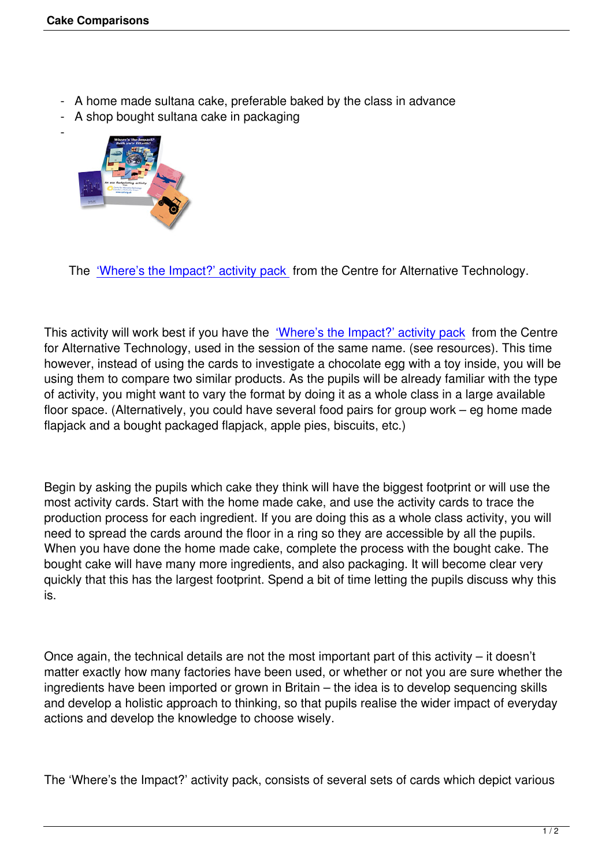- A home made sultana cake, preferable baked by the class in advance
- A shop bought sultana cake in packaging



 $\sim$ 

The 'Where's the Impact?' activity pack from the Centre for Alternative Technology.

This activ[ity will work best if you have the 'W](http://store.cat.org.uk/product_info.php?products_id=2125)here's the Impact?' activity pack from the Centre for Alternative Technology, used in the session of the same name. (see resources). This time however, instead of using the cards to investigate a chocolate egg with a toy inside, you will be using them to compare two similar produc[ts. As the pupils will be already fam](http://store.cat.org.uk/product_info.php?products_id=2125)iliar with the type of activity, you might want to vary the format by doing it as a whole class in a large available floor space. (Alternatively, you could have several food pairs for group work – eg home made flapjack and a bought packaged flapjack, apple pies, biscuits, etc.)

Begin by asking the pupils which cake they think will have the biggest footprint or will use the most activity cards. Start with the home made cake, and use the activity cards to trace the production process for each ingredient. If you are doing this as a whole class activity, you will need to spread the cards around the floor in a ring so they are accessible by all the pupils. When you have done the home made cake, complete the process with the bought cake. The bought cake will have many more ingredients, and also packaging. It will become clear very quickly that this has the largest footprint. Spend a bit of time letting the pupils discuss why this is.

Once again, the technical details are not the most important part of this activity – it doesn't matter exactly how many factories have been used, or whether or not you are sure whether the ingredients have been imported or grown in Britain – the idea is to develop sequencing skills and develop a holistic approach to thinking, so that pupils realise the wider impact of everyday actions and develop the knowledge to choose wisely.

The 'Where's the Impact?' activity pack, consists of several sets of cards which depict various